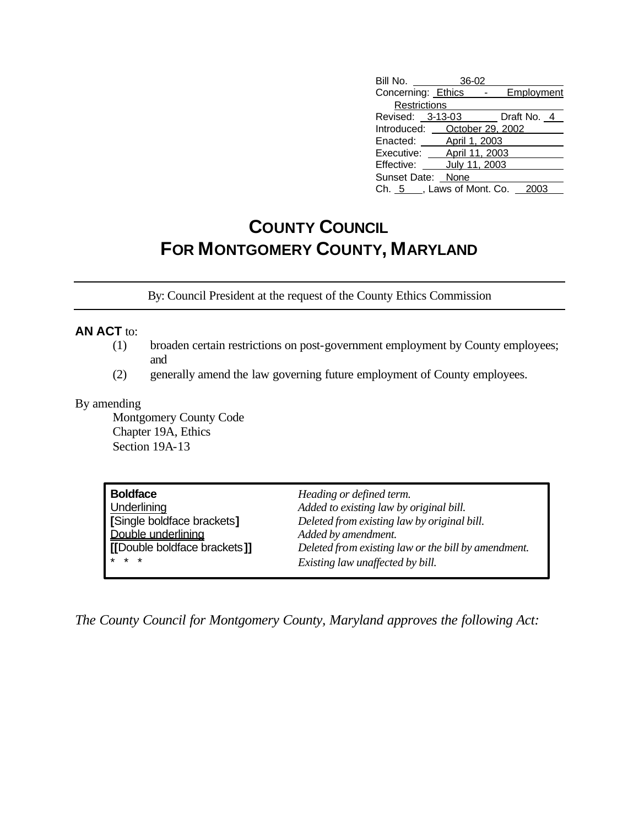| Bill No.                       | 36-02         |               |            |  |
|--------------------------------|---------------|---------------|------------|--|
| Concerning: Ethics             |               | $\frac{1}{2}$ | Employment |  |
| Restrictions                   |               |               |            |  |
| Revised: 3-13-03 Draft No. 4   |               |               |            |  |
| Introduced: October 29, 2002   |               |               |            |  |
| Enacted: April 1, 2003         |               |               |            |  |
| Executive: April 11, 2003      |               |               |            |  |
| Effective:                     | July 11, 2003 |               |            |  |
| Sunset Date: None              |               |               |            |  |
| Ch. 5 . Laws of Mont. Co. 2003 |               |               |            |  |

## **COUNTY COUNCIL FOR MONTGOMERY COUNTY, MARYLAND**

By: Council President at the request of the County Ethics Commission

## **AN ACT** to:

- (1) broaden certain restrictions on post-government employment by County employees; and
- (2) generally amend the law governing future employment of County employees.

## By amending

Montgomery County Code Chapter 19A, Ethics Section 19A-13

| <b>Boldface</b>              | Heading or defined term.                            |
|------------------------------|-----------------------------------------------------|
| Underlining                  | Added to existing law by original bill.             |
| [Single boldface brackets]   | Deleted from existing law by original bill.         |
| Double underlining           | Added by amendment.                                 |
| [[Double boldface brackets]] | Deleted from existing law or the bill by amendment. |
| $* * *$                      | Existing law unaffected by bill.                    |

*The County Council for Montgomery County, Maryland approves the following Act:*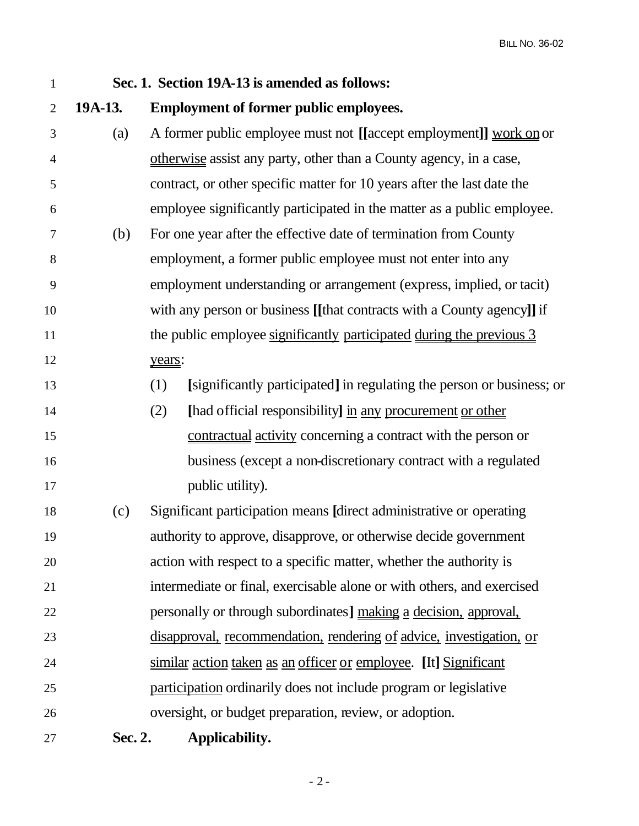| $\mathbf{1}$   |         | Sec. 1. Section 19A-13 is amended as follows:                                |
|----------------|---------|------------------------------------------------------------------------------|
| $\overline{2}$ | 19A-13. | <b>Employment of former public employees.</b>                                |
| 3              | (a)     | A former public employee must not [[accept employment]] work on or           |
| $\overline{4}$ |         | otherwise assist any party, other than a County agency, in a case,           |
| 5              |         | contract, or other specific matter for 10 years after the last date the      |
| 6              |         | employee significantly participated in the matter as a public employee.      |
| 7              | (b)     | For one year after the effective date of termination from County             |
| 8              |         | employment, a former public employee must not enter into any                 |
| 9              |         | employment understanding or arrangement (express, implied, or tacit)         |
| 10             |         | with any person or business [[that contracts with a County agency]] if       |
| 11             |         | the public employee significantly participated during the previous 3         |
| 12             |         | years:                                                                       |
| 13             |         | [significantly participated] in regulating the person or business; or<br>(1) |
| 14             |         | (2)<br>[had official responsibility] in any procurement or other             |
| 15             |         | contractual activity concerning a contract with the person or                |
| 16             |         | business (except a non-discretionary contract with a regulated               |
| 17             |         | public utility).                                                             |
| 18             | (c)     | Significant participation means [direct administrative or operating]         |
| 19             |         | authority to approve, disapprove, or otherwise decide government             |
| 20             |         | action with respect to a specific matter, whether the authority is           |
| 21             |         | intermediate or final, exercisable alone or with others, and exercised       |
| 22             |         | personally or through subordinates] making a decision, approval,             |
| 23             |         | disapproval, recommendation, rendering of advice, investigation, or          |
| 24             |         | similar action taken as an officer or employee. [It] Significant             |
| 25             |         | participation ordinarily does not include program or legislative             |
| 26             |         | oversight, or budget preparation, review, or adoption.                       |
| 27             | Sec. 2. | Applicability.                                                               |

- 2 -